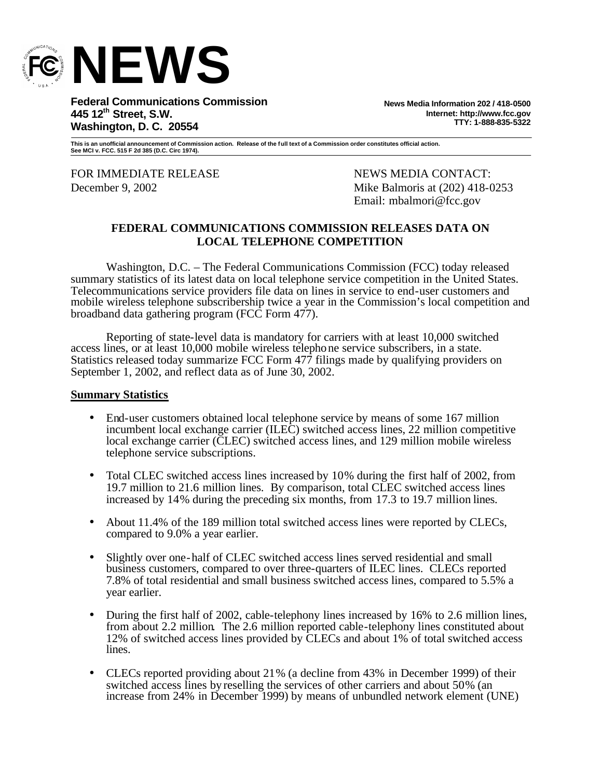

**Federal Communications Commission 445 12th Street, S.W. Washington, D. C. 20554**

**News Media Information 202 / 418-0500 Internet: http://www.fcc.gov TTY: 1-888-835-5322**

**This is an unofficial announcement of Commission action. Release of the full text of a Commission order constitutes official action. See MCI v. FCC. 515 F 2d 385 (D.C. Circ 1974).**

FOR IMMEDIATE RELEASE NEWS MEDIA CONTACT:

December 9, 2002 Mike Balmoris at (202) 418-0253 Email: mbalmori@fcc.gov

#### **FEDERAL COMMUNICATIONS COMMISSION RELEASES DATA ON LOCAL TELEPHONE COMPETITION**

Washington, D.C. – The Federal Communications Commission (FCC) today released summary statistics of its latest data on local telephone service competition in the United States. Telecommunications service providers file data on lines in service to end-user customers and mobile wireless telephone subscribership twice a year in the Commission's local competition and broadband data gathering program (FCC Form 477).

Reporting of state-level data is mandatory for carriers with at least 10,000 switched access lines, or at least 10,000 mobile wireless telephone service subscribers, in a state. Statistics released today summarize FCC Form 477 filings made by qualifying providers on September 1, 2002, and reflect data as of June 30, 2002.

#### **Summary Statistics**

- End-user customers obtained local telephone service by means of some 167 million incumbent local exchange carrier (ILEC) switched access lines, 22 million competitive local exchange carrier (CLEC) switched access lines, and 129 million mobile wireless telephone service subscriptions.
- Total CLEC switched access lines increased by 10% during the first half of 2002, from 19.7 million to 21.6 million lines. By comparison, total CLEC switched access lines increased by 14% during the preceding six months, from 17.3 to 19.7 million lines.
- About 11.4% of the 189 million total switched access lines were reported by CLECs, compared to 9.0% a year earlier.
- Slightly over one-half of CLEC switched access lines served residential and small business customers, compared to over three-quarters of ILEC lines. CLECs reported 7.8% of total residential and small business switched access lines, compared to 5.5% a year earlier.
- During the first half of 2002, cable-telephony lines increased by 16% to 2.6 million lines, from about 2.2 million. The 2.6 million reported cable-telephony lines constituted about 12% of switched access lines provided by CLECs and about 1% of total switched access lines.
- CLECs reported providing about 21% (a decline from 43% in December 1999) of their switched access lines by reselling the services of other carriers and about 50% (an increase from 24% in December 1999) by means of unbundled network element (UNE)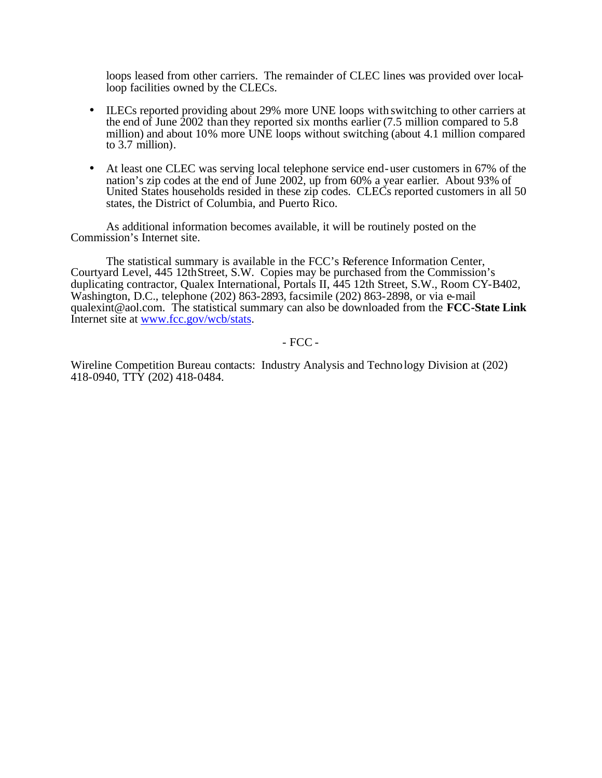loops leased from other carriers. The remainder of CLEC lines was provided over localloop facilities owned by the CLECs.

- ILECs reported providing about 29% more UNE loops with switching to other carriers at the end of June 2002 than they reported six months earlier (7.5 million compared to 5.8 million) and about 10% more UNE loops without switching (about 4.1 million compared to 3.7 million).
- At least one CLEC was serving local telephone service end-user customers in 67% of the nation's zip codes at the end of June 2002, up from 60% a year earlier. About 93% of United States households resided in these zip codes. CLECs reported customers in all 50 states, the District of Columbia, and Puerto Rico.

As additional information becomes available, it will be routinely posted on the Commission's Internet site.

The statistical summary is available in the FCC's Reference Information Center, Courtyard Level, 445 12thStreet, S.W. Copies may be purchased from the Commission's duplicating contractor, Qualex International, Portals II, 445 12th Street, S.W., Room CY-B402, Washington, D.C., telephone (202) 863-2893, facsimile (202) 863-2898, or via e-mail qualexint@aol.com. The statistical summary can also be downloaded from the **FCC-State Link** Internet site at www.fcc.gov/wcb/stats.

- FCC -

Wireline Competition Bureau contacts: Industry Analysis and Technology Division at (202) 418-0940, TTY (202) 418-0484.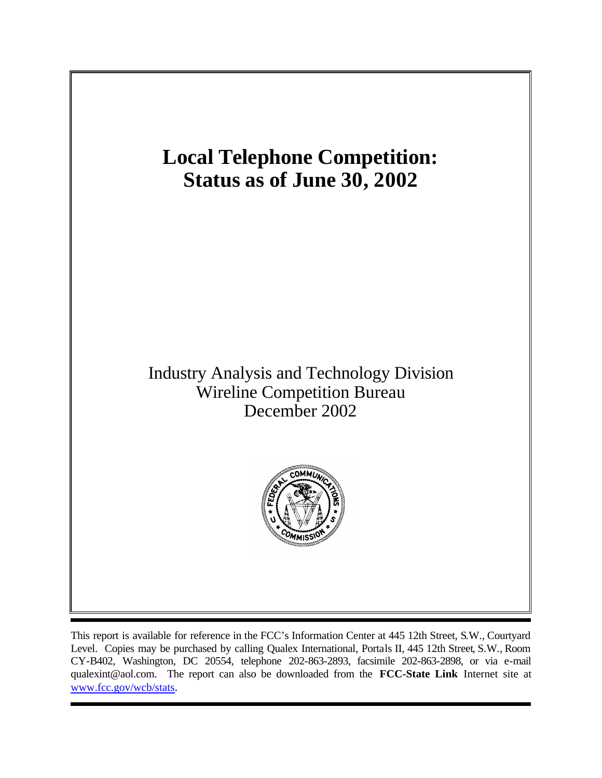

This report is available for reference in the FCC's Information Center at 445 12th Street, S.W., Courtyard Level. Copies may be purchased by calling Qualex International, Portals II, 445 12th Street, S.W., Room CY-B402, Washington, DC 20554, telephone 202-863-2893, facsimile 202-863-2898, or via e-mail qualexint@aol.com. The report can also be downloaded from the **FCC-State Link** Internet site at www.fcc.gov/wcb/stats.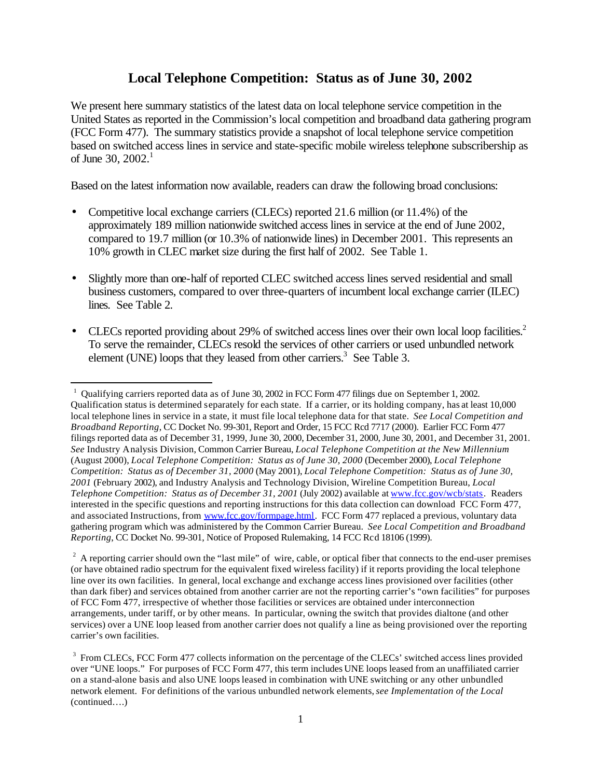# **Local Telephone Competition: Status as of June 30, 2002**

We present here summary statistics of the latest data on local telephone service competition in the United States as reported in the Commission's local competition and broadband data gathering program (FCC Form 477). The summary statistics provide a snapshot of local telephone service competition based on switched access lines in service and state-specific mobile wireless telephone subscribership as of June 30, 2002. 1

Based on the latest information now available, readers can draw the following broad conclusions:

- Competitive local exchange carriers (CLECs) reported 21.6 million (or 11.4%) of the approximately 189 million nationwide switched access lines in service at the end of June 2002, compared to 19.7 million (or 10.3% of nationwide lines) in December 2001. This represents an 10% growth in CLEC market size during the first half of 2002. See Table 1.
- Slightly more than one-half of reported CLEC switched access lines served residential and small business customers, compared to over three-quarters of incumbent local exchange carrier (ILEC) lines. See Table 2*.*
- CLECs reported providing about 29% of switched access lines over their own local loop facilities.<sup>2</sup> To serve the remainder, CLECs resold the services of other carriers or used unbundled network element (UNE) loops that they leased from other carriers.<sup>3</sup> See Table 3.

 $\overline{\phantom{a}}$ 

<sup>&</sup>lt;sup>1</sup> Qualifying carriers reported data as of June 30, 2002 in FCC Form 477 filings due on September 1, 2002. Qualification status is determined separately for each state. If a carrier, or its holding company, has at least 10,000 local telephone lines in service in a state, it must file local telephone data for that state. *See Local Competition and Broadband Reporting*, CC Docket No. 99-301, Report and Order, 15 FCC Rcd 7717 (2000). Earlier FCC Form 477 filings reported data as of December 31, 1999, June 30, 2000, December 31, 2000, June 30, 2001, and December 31, 2001. *See* Industry Analysis Division, Common Carrier Bureau, *Local Telephone Competition at the New Millennium* (August 2000), *Local Telephone Competition: Status as of June 30, 2000* (December 2000), *Local Telephone Competition: Status as of December 31, 2000* (May 2001), *Local Telephone Competition: Status as of June 30, 2001* (February 2002), and Industry Analysis and Technology Division, Wireline Competition Bureau, *Local Telephone Competition: Status as of December 31, 2001* (July 2002) available at www.fcc.gov/wcb/stats. Readers interested in the specific questions and reporting instructions for this data collection can download FCC Form 477, and associated Instructions, from www.fcc.gov/formpage.html. FCC Form 477 replaced a previous, voluntary data gathering program which was administered by the Common Carrier Bureau. *See Local Competition and Broadband Reporting*, CC Docket No. 99-301, Notice of Proposed Rulemaking, 14 FCC Rcd 18106 (1999).

 $2<sup>2</sup>$  A reporting carrier should own the "last mile" of wire, cable, or optical fiber that connects to the end-user premises (or have obtained radio spectrum for the equivalent fixed wireless facility) if it reports providing the local telephone line over its own facilities. In general, local exchange and exchange access lines provisioned over facilities (other than dark fiber) and services obtained from another carrier are not the reporting carrier's "own facilities" for purposes of FCC Form 477, irrespective of whether those facilities or services are obtained under interconnection arrangements, under tariff, or by other means. In particular, owning the switch that provides dialtone (and other services) over a UNE loop leased from another carrier does not qualify a line as being provisioned over the reporting carrier's own facilities.

<sup>&</sup>lt;sup>3</sup> From CLECs, FCC Form 477 collects information on the percentage of the CLECs' switched access lines provided over "UNE loops." For purposes of FCC Form 477, this term includes UNE loops leased from an unaffiliated carrier on a stand-alone basis and also UNE loops leased in combination with UNE switching or any other unbundled network element. For definitions of the various unbundled network elements,*see Implementation of the Local*  (continued….)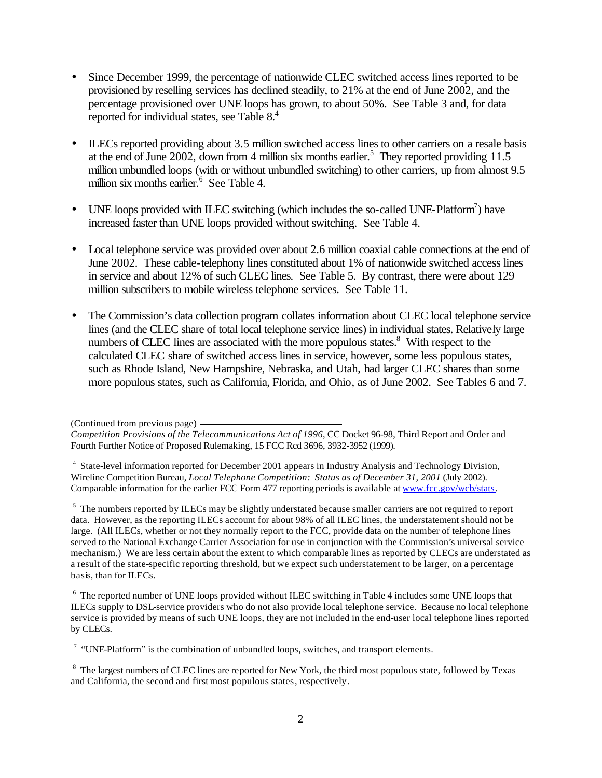- Since December 1999, the percentage of nationwide CLEC switched access lines reported to be provisioned by reselling services has declined steadily, to 21% at the end of June 2002, and the percentage provisioned over UNE loops has grown, to about 50%. See Table 3 and, for data reported for individual states, see Table 8.<sup>4</sup>
- ILECs reported providing about 3.5 million switched access lines to other carriers on a resale basis at the end of June 2002, down from 4 million six months earlier. 5 They reported providing 11.5 million unbundled loops (with or without unbundled switching) to other carriers, up from almost 9.5 million six months earlier.<sup>6</sup> See Table 4.
- UNE loops provided with ILEC switching (which includes the so-called UNE-Platform<sup>7</sup>) have increased faster than UNE loops provided without switching. See Table 4.
- Local telephone service was provided over about 2.6 million coaxial cable connections at the end of June 2002. These cable-telephony lines constituted about 1% of nationwide switched access lines in service and about 12% of such CLEC lines. See Table 5. By contrast, there were about 129 million subscribers to mobile wireless telephone services. See Table 11.
- The Commission's data collection program collates information about CLEC local telephone service lines (and the CLEC share of total local telephone service lines) in individual states. Relatively large numbers of CLEC lines are associated with the more populous states.<sup>8</sup> With respect to the calculated CLEC share of switched access lines in service, however, some less populous states, such as Rhode Island, New Hampshire, Nebraska, and Utah, had larger CLEC shares than some more populous states, such as California, Florida, and Ohio, as of June 2002. See Tables 6 and 7.

<sup>4</sup> State-level information reported for December 2001 appears in Industry Analysis and Technology Division, Wireline Competition Bureau, *Local Telephone Competition: Status as of December 31, 2001* (July 2002). Comparable information for the earlier FCC Form 477 reporting periods is available at www.fcc.gov/wcb/stats.

<sup>5</sup> The numbers reported by ILECs may be slightly understated because smaller carriers are not required to report data. However, as the reporting ILECs account for about 98% of all ILEC lines, the understatement should not be large. (All ILECs, whether or not they normally report to the FCC, provide data on the number of telephone lines served to the National Exchange Carrier Association for use in conjunction with the Commission's universal service mechanism.) We are less certain about the extent to which comparable lines as reported by CLECs are understated as a result of the state-specific reporting threshold, but we expect such understatement to be larger, on a percentage basis, than for ILECs.

<sup>6</sup> The reported number of UNE loops provided without ILEC switching in Table 4 includes some UNE loops that ILECs supply to DSL-service providers who do not also provide local telephone service. Because no local telephone service is provided by means of such UNE loops, they are not included in the end-user local telephone lines reported by CLECs.

<sup>7</sup> "UNE-Platform" is the combination of unbundled loops, switches, and transport elements.

<sup>8</sup> The largest numbers of CLEC lines are reported for New York, the third most populous state, followed by Texas and California, the second and first most populous states, respectively.

<sup>(</sup>Continued from previous page)

*Competition Provisions of the Telecommunications Act of 1996*, CC Docket 96-98, Third Report and Order and Fourth Further Notice of Proposed Rulemaking, 15 FCC Rcd 3696, 3932-3952 (1999).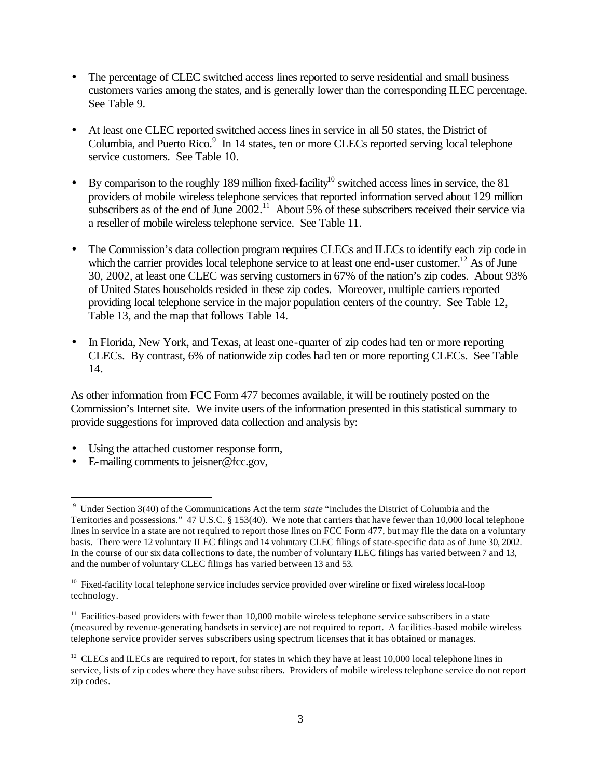- The percentage of CLEC switched access lines reported to serve residential and small business customers varies among the states, and is generally lower than the corresponding ILEC percentage. See Table 9.
- At least one CLEC reported switched access lines in service in all 50 states, the District of Columbia, and Puerto Rico.<sup>9</sup> In 14 states, ten or more CLECs reported serving local telephone service customers. See Table 10.
- By comparison to the roughly 189 million fixed-facility<sup>10</sup> switched access lines in service, the 81 providers of mobile wireless telephone services that reported information served about 129 million subscribers as of the end of June  $2002$ .<sup>11</sup> About 5% of these subscribers received their service via a reseller of mobile wireless telephone service. See Table 11.
- The Commission's data collection program requires CLECs and ILECs to identify each zip code in which the carrier provides local telephone service to at least one end-user customer.<sup>12</sup> As of June 30, 2002, at least one CLEC was serving customers in 67% of the nation's zip codes. About 93% of United States households resided in these zip codes. Moreover, multiple carriers reported providing local telephone service in the major population centers of the country. See Table 12, Table 13, and the map that follows Table 14.
- In Florida, New York, and Texas, at least one-quarter of zip codes had ten or more reporting CLECs. By contrast, 6% of nationwide zip codes had ten or more reporting CLECs. See Table 14.

As other information from FCC Form 477 becomes available, it will be routinely posted on the Commission's Internet site. We invite users of the information presented in this statistical summary to provide suggestions for improved data collection and analysis by:

- Using the attached customer response form,
- E-mailing comments to jeisner@fcc.gov,

l

<sup>9</sup> Under Section 3(40) of the Communications Act the term *state* "includes the District of Columbia and the Territories and possessions." 47 U.S.C. § 153(40). We note that carriers that have fewer than 10,000 local telephone lines in service in a state are not required to report those lines on FCC Form 477, but may file the data on a voluntary basis. There were 12 voluntary ILEC filings and 14 voluntary CLEC filings of state-specific data as of June 30, 2002. In the course of our six data collections to date, the number of voluntary ILEC filings has varied between 7 and 13, and the number of voluntary CLEC filings has varied between 13 and 53.

<sup>&</sup>lt;sup>10</sup> Fixed-facility local telephone service includes service provided over wireline or fixed wireless local-loop technology.

 $11$  Facilities-based providers with fewer than 10,000 mobile wireless telephone service subscribers in a state (measured by revenue-generating handsets in service) are not required to report. A facilities-based mobile wireless telephone service provider serves subscribers using spectrum licenses that it has obtained or manages.

 $12$  CLECs and ILECs are required to report, for states in which they have at least 10,000 local telephone lines in service, lists of zip codes where they have subscribers. Providers of mobile wireless telephone service do not report zip codes.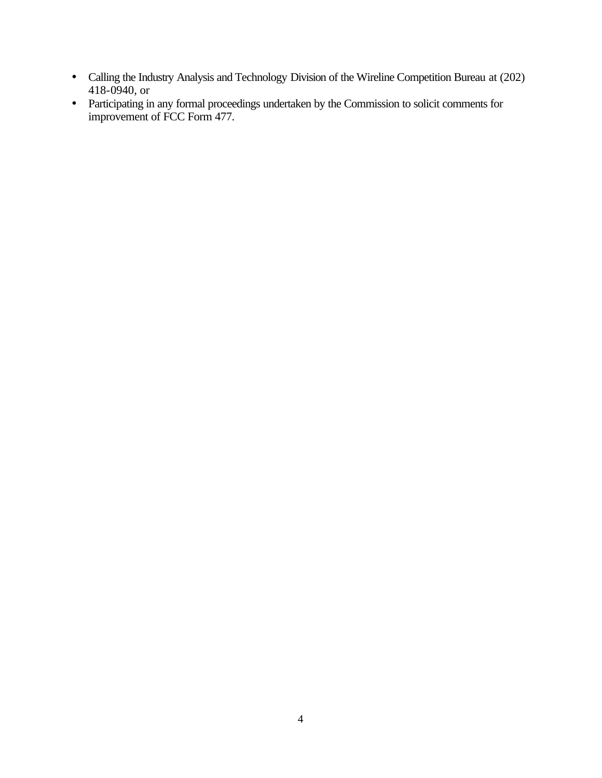- Calling the Industry Analysis and Technology Division of the Wireline Competition Bureau at (202) 418-0940, or
- Participating in any formal proceedings undertaken by the Commission to solicit comments for improvement of FCC Form 477.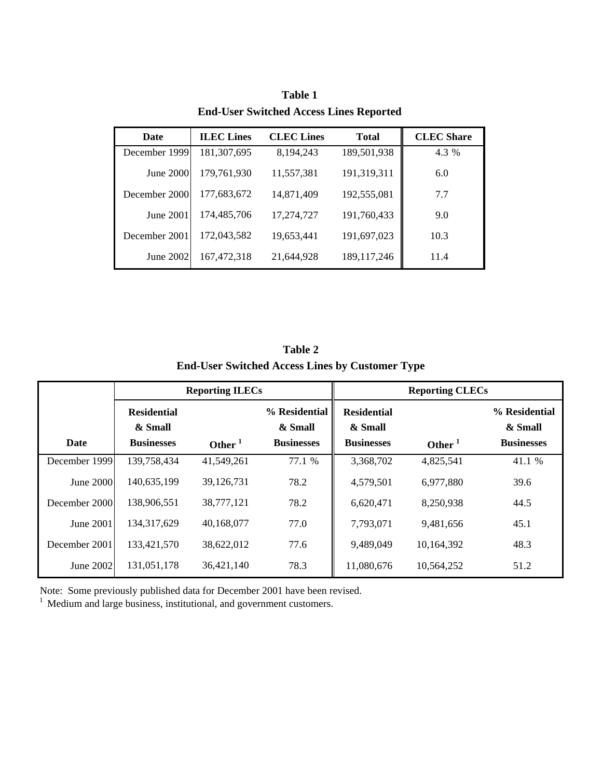| Date          | <b>ILEC</b> Lines | <b>CLEC</b> Lines | <b>Total</b>  | <b>CLEC</b> Share |
|---------------|-------------------|-------------------|---------------|-------------------|
| December 1999 | 181,307,695       | 8, 194, 243       | 189,501,938   | 4.3 %             |
| June 2000     | 179,761,930       | 11,557,381        | 191,319,311   | 6.0               |
| December 2000 | 177,683,672       | 14,871,409        | 192,555,081   | 7.7               |
| June 2001     | 174,485,706       | 17,274,727        | 191,760,433   | 9.0               |
| December 2001 | 172,043,582       | 19,653,441        | 191,697,023   | 10.3              |
| June 2002     | 167, 472, 318     | 21,644,928        | 189, 117, 246 | 11.4              |

**Table 1 End-User Switched Access Lines Reported**

**Table 2 End-User Switched Access Lines by Customer Type**

|               |                                                    | <b>Reporting ILECs</b> |                                               |                                                    | <b>Reporting CLECs</b> |                                               |  |
|---------------|----------------------------------------------------|------------------------|-----------------------------------------------|----------------------------------------------------|------------------------|-----------------------------------------------|--|
| Date          | <b>Residential</b><br>& Small<br><b>Businesses</b> | Other $1$              | % Residential<br>& Small<br><b>Businesses</b> | <b>Residential</b><br>& Small<br><b>Businesses</b> | Other $1$              | % Residential<br>& Small<br><b>Businesses</b> |  |
| December 1999 | 139,758,434                                        | 41,549,261             | 77.1 %                                        | 3,368,702                                          | 4,825,541              | 41.1 %                                        |  |
| June 2000     | 140,635,199                                        | 39,126,731             | 78.2                                          | 4,579,501                                          | 6,977,880              | 39.6                                          |  |
| December 2000 | 138,906,551                                        | 38,777,121             | 78.2                                          | 6,620,471                                          | 8,250,938              | 44.5                                          |  |
| June 2001     | 134, 317, 629                                      | 40,168,077             | 77.0                                          | 7,793,071                                          | 9,481,656              | 45.1                                          |  |
| December 2001 | 133,421,570                                        | 38,622,012             | 77.6                                          | 9,489,049                                          | 10,164,392             | 48.3                                          |  |
| June 2002     | 131,051,178                                        | 36,421,140             | 78.3                                          | 11,080,676                                         | 10,564,252             | 51.2                                          |  |

Note: Some previously published data for December 2001 have been revised.

 $1$  Medium and large business, institutional, and government customers.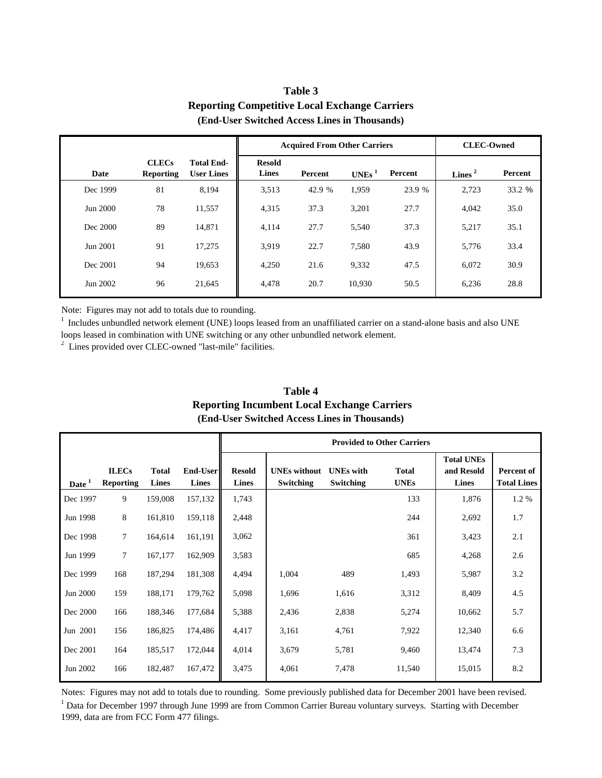|          | $(2.001)$ over $(3.001)$ and $(1.000)$ and $(1.000)$ and $(0.000)$ |                                        |                               |                                     |                   |         |                   |         |
|----------|--------------------------------------------------------------------|----------------------------------------|-------------------------------|-------------------------------------|-------------------|---------|-------------------|---------|
|          |                                                                    |                                        |                               | <b>Acquired From Other Carriers</b> |                   |         | <b>CLEC-Owned</b> |         |
| Date     | <b>CLECs</b><br><b>Reporting</b>                                   | <b>Total End-</b><br><b>User Lines</b> | <b>Resold</b><br><b>Lines</b> | Percent                             | UNEs <sup>1</sup> | Percent | Lines $2$         | Percent |
| Dec 1999 | 81                                                                 | 8,194                                  | 3,513                         | 42.9 %                              | 1,959             | 23.9 %  | 2,723             | 33.2 %  |
| Jun 2000 | 78                                                                 | 11,557                                 | 4,315                         | 37.3                                | 3,201             | 27.7    | 4,042             | 35.0    |
| Dec 2000 | 89                                                                 | 14,871                                 | 4,114                         | 27.7                                | 5,540             | 37.3    | 5,217             | 35.1    |
| Jun 2001 | 91                                                                 | 17,275                                 | 3,919                         | 22.7                                | 7,580             | 43.9    | 5,776             | 33.4    |
| Dec 2001 | 94                                                                 | 19,653                                 | 4,250                         | 21.6                                | 9,332             | 47.5    | 6,072             | 30.9    |
| Jun 2002 | 96                                                                 | 21,645                                 | 4,478                         | 20.7                                | 10,930            | 50.5    | 6,236             | 28.8    |

## **Table 3 Reporting Competitive Local Exchange Carriers (End-User Switched Access Lines in Thousands)**

Note: Figures may not add to totals due to rounding.

 $1$  Includes unbundled network element (UNE) loops leased from an unaffiliated carrier on a stand-alone basis and also UNE loops leased in combination with UNE switching or any other unbundled network element.

<sup>2</sup> Lines provided over CLEC-owned "last-mile" facilities.

|                   | (End-Oser Switched Access Lines in Thousands) |                       |                          |                               |                                         |                                      |                             |                                                 |                                  |  |
|-------------------|-----------------------------------------------|-----------------------|--------------------------|-------------------------------|-----------------------------------------|--------------------------------------|-----------------------------|-------------------------------------------------|----------------------------------|--|
|                   |                                               |                       |                          |                               | <b>Provided to Other Carriers</b>       |                                      |                             |                                                 |                                  |  |
| Date <sup>1</sup> | <b>ILECs</b><br><b>Reporting</b>              | <b>Total</b><br>Lines | End-User<br><b>Lines</b> | <b>Resold</b><br><b>Lines</b> | <b>UNEs</b> without<br><b>Switching</b> | <b>UNEs</b> with<br><b>Switching</b> | <b>Total</b><br><b>UNEs</b> | <b>Total UNEs</b><br>and Resold<br><b>Lines</b> | Percent of<br><b>Total Lines</b> |  |
| Dec 1997          | 9                                             | 159,008               | 157,132                  | 1,743                         |                                         |                                      | 133                         | 1,876                                           | 1.2 %                            |  |
| Jun 1998          | 8                                             | 161,810               | 159,118                  | 2,448                         |                                         |                                      | 244                         | 2,692                                           | 1.7                              |  |
| Dec 1998          | $\tau$                                        | 164,614               | 161,191                  | 3,062                         |                                         |                                      | 361                         | 3,423                                           | 2.1                              |  |
| Jun 1999          | $\tau$                                        | 167,177               | 162,909                  | 3,583                         |                                         |                                      | 685                         | 4,268                                           | 2.6                              |  |
| Dec 1999          | 168                                           | 187,294               | 181,308                  | 4,494                         | 1,004                                   | 489                                  | 1,493                       | 5,987                                           | 3.2                              |  |
| Jun 2000          | 159                                           | 188,171               | 179,762                  | 5,098                         | 1,696                                   | 1,616                                | 3,312                       | 8,409                                           | 4.5                              |  |
| Dec 2000          | 166                                           | 188,346               | 177,684                  | 5,388                         | 2,436                                   | 2,838                                | 5,274                       | 10,662                                          | 5.7                              |  |
| Jun 2001          | 156                                           | 186,825               | 174,486                  | 4,417                         | 3,161                                   | 4,761                                | 7,922                       | 12,340                                          | 6.6                              |  |
| Dec 2001          | 164                                           | 185,517               | 172,044                  | 4,014                         | 3,679                                   | 5,781                                | 9,460                       | 13,474                                          | 7.3                              |  |
| Jun 2002          | 166                                           | 182,487               | 167,472                  | 3,475                         | 4,061                                   | 7,478                                | 11,540                      | 15,015                                          | 8.2                              |  |

### **Table 4 Reporting Incumbent Local Exchange Carriers (End-User Switched Access Lines in Thousands)**

Notes: Figures may not add to totals due to rounding. Some previously published data for December 2001 have been revised. <sup>1</sup> Data for December 1997 through June 1999 are from Common Carrier Bureau voluntary surveys. Starting with December 1999, data are from FCC Form 477 filings.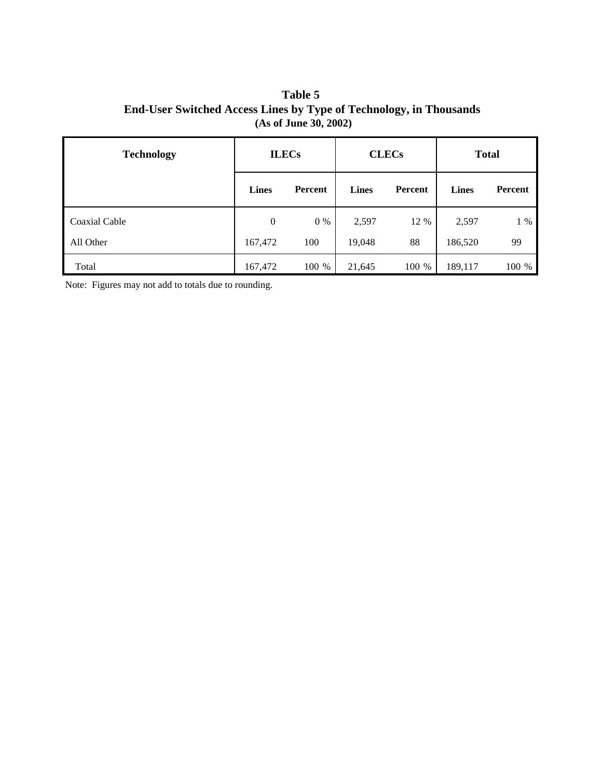**Table 5 End-User Switched Access Lines by Type of Technology, in Thousands (As of June 30, 2002)**

| <b>Technology</b> | <b>ILECs</b>     |         | <b>CLECs</b> |                | <b>Total</b> |                |
|-------------------|------------------|---------|--------------|----------------|--------------|----------------|
|                   | <b>Lines</b>     | Percent | <b>Lines</b> | <b>Percent</b> | <b>Lines</b> | <b>Percent</b> |
| Coaxial Cable     | $\boldsymbol{0}$ | $0\%$   | 2,597        | 12 %           | 2,597        | $1\%$          |
| All Other         | 167,472          | 100     | 19,048       | 88             | 186,520      | 99             |
| Total             | 167,472          | 100 %   | 21,645       | 100 %          | 189,117      | 100 %          |

Note: Figures may not add to totals due to rounding.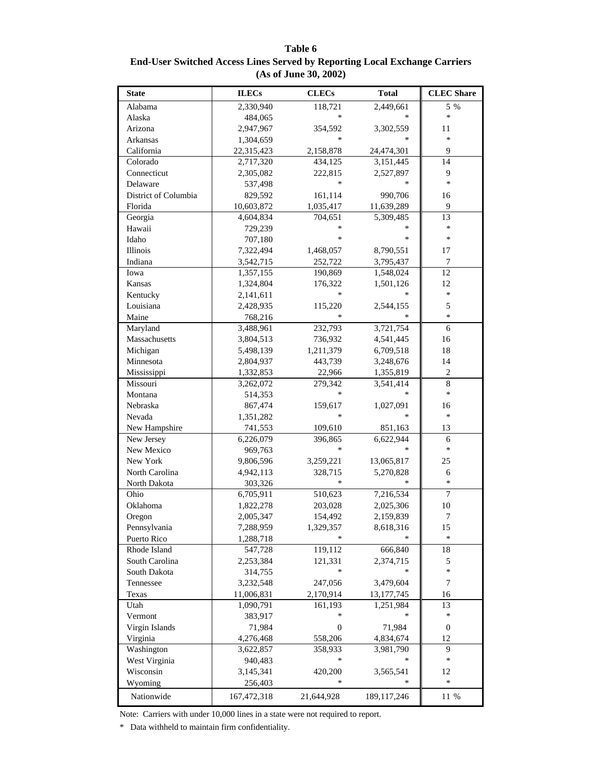**Table 6 End-User Switched Access Lines Served by Reporting Local Exchange Carriers (As of June 30, 2002)**

| <b>State</b>         | <b>ILECs</b> | <b>CLECs</b>     | <b>Total</b>     | <b>CLEC</b> Share |
|----------------------|--------------|------------------|------------------|-------------------|
| Alabama              | 2,330,940    | 118,721          | 2,449,661        | 5 %               |
| Alaska               | 484,065      | $\ast$           | $\pm$            | $\ast$            |
| Arizona              | 2,947,967    | 354,592          | 3,302,559        | 11                |
| Arkansas             | 1,304,659    | $\ast$           | $\frac{1}{2\pi}$ | $\ast$            |
| California           | 22,315,423   | 2,158,878        | 24,474,301       | 9                 |
| Colorado             | 2,717,320    | 434,125          | 3,151,445        | 14                |
| Connecticut          | 2,305,082    | 222,815          | 2,527,897        | 9                 |
| Delaware             | 537,498      | $\ast$           |                  | $\ast$            |
| District of Columbia | 829,592      | 161,114          | 990,706          | 16                |
| Florida              | 10,603,872   | 1,035,417        | 11,639,289       | 9                 |
| Georgia              | 4,604,834    | 704,651          | 5,309,485        | 13                |
| Hawaii               | 729,239      | $\ast$           | $\approx$        | $\ast$            |
| Idaho                | 707,180      | $\ast$           | $\approx$        | $\ast$            |
| Illinois             | 7,322,494    | 1,468,057        | 8,790,551        | 17                |
| Indiana              | 3,542,715    | 252,722          | 3,795,437        | $\tau$            |
| Iowa                 | 1,357,155    | 190,869          | 1,548,024        | 12                |
| Kansas               | 1,324,804    | 176,322          | 1,501,126        | 12                |
| Kentucky             | 2,141,611    | $\ast$           |                  | $\ast$            |
| Louisiana            | 2,428,935    | 115,220          | 2,544,155        | 5                 |
| Maine                | 768,216      | $\ast$           |                  | $\ast$            |
| Maryland             | 3,488,961    | 232,793          | 3,721,754        | 6                 |
| Massachusetts        | 3,804,513    | 736,932          | 4,541,445        | 16                |
| Michigan             | 5,498,139    | 1,211,379        | 6,709,518        | 18                |
| Minnesota            | 2,804,937    | 443,739          | 3,248,676        | 14                |
| Mississippi          | 1,332,853    | 22,966           | 1,355,819        | $\overline{2}$    |
| Missouri             | 3,262,072    | 279,342          | 3,541,414        | $\,8\,$           |
| Montana              | 514,353      | $\ast$           | $\pm$            | $\ast$            |
| Nebraska             | 867,474      | 159,617          | 1,027,091        | 16                |
| Nevada               | 1,351,282    | $\ast$           | $\pm$            | $\ast$            |
| New Hampshire        | 741,553      | 109,610          | 851,163          | 13                |
| New Jersey           | 6,226,079    | 396,865          | 6,622,944        | 6                 |
| New Mexico           | 969,763      | $\ast$           | *                | $\ast$            |
| New York             | 9,806,596    | 3,259,221        | 13,065,817       | 25                |
| North Carolina       | 4,942,113    | 328,715          | 5,270,828        | 6                 |
| North Dakota         | 303,326      | $\ast$           | $\pm$            | $\ast$            |
| Ohio                 | 6,705,911    | 510,623          | 7,216,534        | $\overline{7}$    |
| Oklahoma             | 1,822,278    | 203,028          | 2,025,306        | 10                |
| Oregon               | 2,005,347    | 154,492          | 2,159,839        | $\boldsymbol{7}$  |
| Pennsylvania         | 7,288,959    | 1,329,357        | 8,618,316        | 15                |
| Puerto Rico          | 1,288,718    |                  |                  | *                 |
| Rhode Island         | 547,728      | 119,112          | 666,840          | 18                |
| South Carolina       | 2,253,384    | 121,331          | 2,374,715        | 5                 |
| South Dakota         | 314,755      | $\ast$           |                  | *                 |
| Tennessee            | 3,232,548    | 247,056          | 3,479,604        | $\boldsymbol{7}$  |
| Texas                | 11,006,831   | 2,170,914        | 13, 177, 745     | 16                |
| Utah                 | 1,090,791    | 161,193          | 1,251,984        | 13                |
| Vermont              | 383,917      | *                |                  | *                 |
| Virgin Islands       | 71,984       | $\boldsymbol{0}$ | 71,984           | $\boldsymbol{0}$  |
| Virginia             | 4,276,468    | 558,206          | 4,834,674        | 12                |
| Washington           | 3,622,857    | 358,933          | 3,981,790        | 9                 |
| West Virginia        | 940,483      | $\ast$           |                  | *                 |
| Wisconsin            | 3,145,341    | 420,200          | 3,565,541        | 12                |
| Wyoming              | 256,403      | $\ast$           | *                | *                 |
|                      |              |                  |                  |                   |
| Nationwide           | 167,472,318  | 21,644,928       | 189, 117, 246    | 11 %              |

Note: Carriers with under 10,000 lines in a state were not required to report.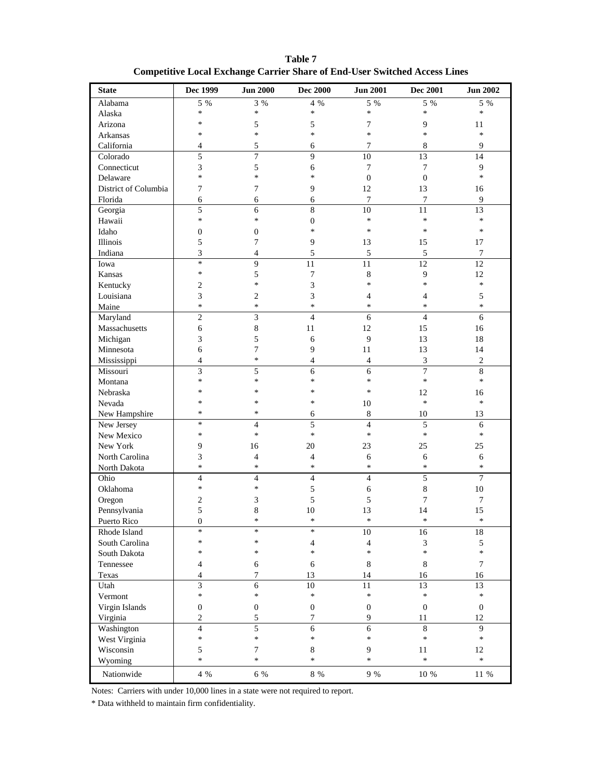| <b>State</b>         | Dec 1999         | <b>Jun 2000</b>          | <b>Dec 2000</b>          | <b>Jun 2001</b>  | <b>Dec 2001</b>  | <b>Jun 2002</b>  |
|----------------------|------------------|--------------------------|--------------------------|------------------|------------------|------------------|
| Alabama              | 5 %              | 3%                       | 4 %                      | 5 %              | 5 %              | 5 %              |
| Alaska               | $\ast$           | $\ast$                   | $\ast$                   | $\ast$           | $\ast$           | $\star$          |
| Arizona              | $\ast$           | 5                        | 5                        | $\overline{7}$   | 9                | 11               |
| Arkansas             | $\ast$           | $\ast$                   | $\ast$                   | $\ast$           | $\ast$           | $\ast$           |
| California           | 4                | 5                        | 6                        | $\tau$           | 8                | 9                |
| Colorado             | 5                | $\overline{7}$           | 9                        | 10               | 13               | 14               |
| Connecticut          | 3                | 5                        | 6                        | $\overline{7}$   | $\overline{7}$   | 9                |
| Delaware             | $\ast$           | $\ast$                   | $\ast$                   | $\overline{0}$   | $\overline{0}$   | $\ast$           |
| District of Columbia | 7                | 7                        | 9                        | 12               | 13               | 16               |
| Florida              | 6                | 6                        | 6                        | $\overline{7}$   | 7                | 9                |
| Georgia              | 5                | 6                        | 8                        | 10               | 11               | 13               |
| Hawaii               | $\ast$           | $\ast$                   | $\boldsymbol{0}$         | $\ast$           | $\ast$           | $\ast$           |
| Idaho                | $\boldsymbol{0}$ | $\boldsymbol{0}$         | $\star$                  | $\star$          | $\ast$           | $\star$          |
| Illinois             | 5                | 7                        | $\overline{9}$           | 13               | 15               | 17               |
| Indiana              | 3                | $\overline{4}$           | $\mathfrak s$            | $\sqrt{5}$       | $\sqrt{5}$       | $\tau$           |
| Iowa                 | $\ast$           | 9                        | 11                       | 11               | 12               | 12               |
| Kansas               | $\ast$           | 5                        | $\boldsymbol{7}$         | $\,8\,$          | 9                | 12               |
| Kentucky             | $\overline{c}$   | $\ast$                   | 3                        | $\ast$           | $\ast$           | $\ast$           |
| Louisiana            | 3                | $\mathbf{2}$             | 3                        | $\overline{4}$   | $\overline{4}$   | 5                |
| Maine                | $\ast$           | $\ast$                   | $\ast$                   | $\ast$           | $\ast$           | $\star$          |
| Maryland             | $\overline{c}$   | 3                        | $\overline{4}$           | 6                | $\overline{4}$   | 6                |
| Massachusetts        | 6                | 8                        | 11                       | 12               | 15               | 16               |
| Michigan             | 3                | 5                        | 6                        | $\overline{9}$   | 13               | 18               |
| Minnesota            | 6                | 7                        | 9                        | 11               | 13               | 14               |
| Mississippi          | $\overline{4}$   | $\ast$                   | $\overline{4}$           | $\overline{4}$   | 3                | $\sqrt{2}$       |
| Missouri             | 3                | 5                        | 6                        | 6                | $\overline{7}$   | 8                |
| Montana              | $\ast$           | $\ast$                   | $\star$                  | $\ast$           | $\ast$           | $\ast$           |
| Nebraska             | $\ast$           | $\ast$                   | $\ast$                   | $\ast$           | 12               | 16               |
| Nevada               | $\ast$           | $\ast$                   | $\star$                  | 10               | $\ast$           | $\ast$           |
| New Hampshire        | $\ast$           | $\ast$                   | 6                        | $\,8\,$          | 10               | 13               |
| New Jersey           | $\ast$           | $\overline{\mathcal{L}}$ | 5                        | $\overline{4}$   | 5                | 6                |
| New Mexico           | $\ast$           | $\ast$                   | $\ast$                   | $\ast$           | $\ast$           | $\ast$           |
| New York             | 9                | 16                       | 20                       | 23               | 25               | 25               |
| North Carolina       | 3                | $\overline{4}$           | $\overline{4}$           | 6                | 6                | 6                |
| North Dakota         | $\ast$           | $\ast$                   | $\star$                  | $\ast$           | $\ast$           | $\ast$           |
| Ohio                 | $\overline{4}$   | $\overline{4}$           | $\overline{4}$           | $\overline{4}$   | 5                | $\overline{7}$   |
| Oklahoma             | $\ast$           | $\ast$                   | 5                        | 6                | 8                | 10               |
| Oregon               | 2                | 3                        | 5                        | 5                | 7                | 7                |
| Pennsylvania         | 5                | $\,$ 8 $\,$              | 10                       | 13               | 14               | 15               |
| Puerto Rico          | $\boldsymbol{0}$ | $\ast$                   | $\mathbf{r}$             | $\ast$           | $\ast$           | $\ast$           |
| Rhode Island         | $\ast$           | $\ast$                   | $\ast$                   | 10               | 16               | $18\,$           |
| South Carolina       | $\ast$           | $\ast$                   | $\overline{\mathcal{L}}$ | $\overline{4}$   | 3                | 5                |
| South Dakota         | $\ast$           | $\ast$                   | $\ast$                   | $\ast$           | $\ast$           | $\ast$           |
| Tennessee            | 4                | $\epsilon$               | 6                        | $\,8\,$          | $\,8\,$          | $\tau$           |
| Texas                | 4                | 7                        | 13                       | 14               | 16               | 16               |
| Utah                 | 3                | 6                        | 10                       | 11               | 13               | 13               |
| Vermont              | $\ast$           | $\ast$                   | *                        | $\ast$           | $\ast$           | $\ast$           |
| Virgin Islands       | 0                | $\boldsymbol{0}$         | $\boldsymbol{0}$         | $\boldsymbol{0}$ | $\boldsymbol{0}$ | $\boldsymbol{0}$ |
| Virginia             | $\overline{c}$   | 5                        | 7                        | 9                | 11               | 12               |
| Washington           | $\overline{4}$   | $\overline{5}$           | 6                        | 6                | 8                | 9                |
| West Virginia        | $\ast$           | *                        | *                        | $\ast$           | $\ast$           | *                |
| Wisconsin            | 5                | $\boldsymbol{7}$         | 8                        | 9                | 11               | 12               |
| Wyoming              | $\ast$           | $\ast$                   | $\ast$                   | $\ast$           | $\ast$           | $\ast$           |
| Nationwide           | 4 %              | 6 %                      | $8\,$ %                  | $9\ \%$          | $10\ \%$         | $11\,$ %         |

**Table 7 Competitive Local Exchange Carrier Share of End-User Switched Access Lines**

Notes: Carriers with under 10,000 lines in a state were not required to report.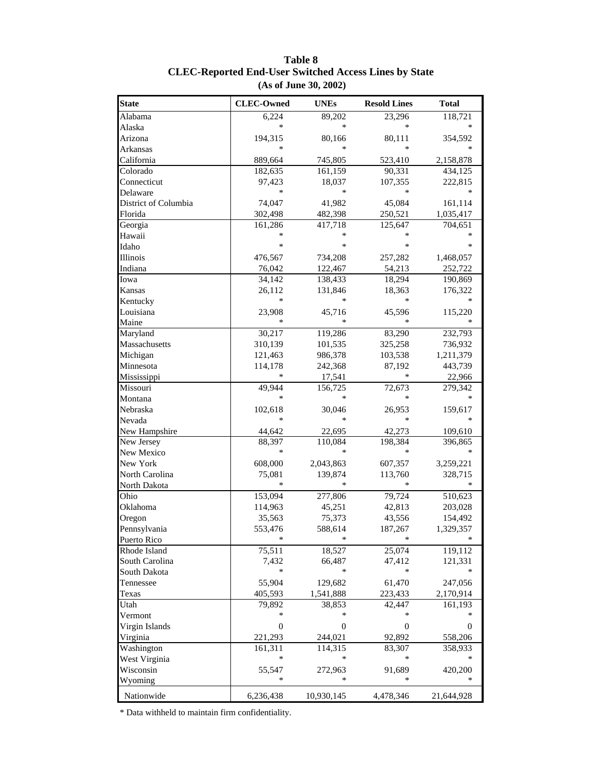| <b>State</b>         | <b>CLEC-Owned</b> | <b>UNEs</b> | <b>Resold Lines</b> | <b>Total</b> |
|----------------------|-------------------|-------------|---------------------|--------------|
| Alabama              | 6,224             | 89,202      | 23,296              | 118,721      |
| Alaska               | ∗                 | *           | *                   |              |
| Arizona              | 194,315           | 80,166      | 80,111              | 354,592      |
| Arkansas             | *                 | $\ast$      | *                   |              |
| California           | 889,664           | 745,805     | 523,410             | 2,158,878    |
| Colorado             | 182,635           | 161,159     | 90,331              | 434,125      |
| Connecticut          | 97,423            | 18,037      | 107,355             | 222,815      |
| Delaware             | ∗                 | ∗           | *                   |              |
| District of Columbia | 74,047            | 41,982      | 45,084              | 161,114      |
| Florida              | 302,498           | 482,398     | 250,521             | 1,035,417    |
| Georgia              | 161,286           | 417,718     | 125,647             | 704,651      |
| Hawaii               | *                 |             | *                   |              |
| Idaho                | ∗                 | *           | $\ast$              | *            |
| Illinois             | 476,567           | 734,208     | 257,282             | 1,468,057    |
| Indiana              | 76,042            | 122,467     | 54,213              | 252,722      |
| Iowa                 | 34,142            | 138,433     | 18,294              | 190,869      |
| Kansas               | 26,112            | 131,846     | 18,363              | 176,322      |
| Kentucky             | *                 |             | *                   |              |
| Louisiana            | 23,908            | 45,716      | 45,596              | 115,220      |
| Maine                | $\ast$            | *           | $\ast$              |              |
| Maryland             | 30,217            | 119,286     | 83,290              | 232,793      |
| Massachusetts        | 310,139           | 101,535     | 325,258             | 736,932      |
| Michigan             | 121,463           | 986,378     | 103,538             | 1,211,379    |
| Minnesota            | 114,178           | 242,368     | 87,192              | 443,739      |
| Mississippi          | ∗                 | 17,541      | $\ast$              | 22,966       |
| Missouri             | 49,944            | 156,725     | 72,673              | 279,342      |
| Montana              | *                 | *           | $\ast$              |              |
| Nebraska             | 102,618           | 30,046      | 26,953              | 159,617      |
| Nevada               | $\ast$            | *           | *                   |              |
| New Hampshire        | 44,642            | 22,695      | 42,273              | 109,610      |
| New Jersey           | 88,397            | 110,084     | 198,384             | 396,865      |
| New Mexico           | ∗                 |             | *                   |              |
| New York             | 608,000           | 2,043,863   | 607,357             | 3,259,221    |
| North Carolina       | 75,081            | 139,874     | 113,760             | 328,715      |
| North Dakota         | $\ast$            | *           | *                   |              |
| Ohio                 | 153,094           | 277,806     | 79,724              | 510,623      |
| Oklahoma             | 114,963           | 45,251      | 42,813              | 203,028      |
| Oregon               | 35,563            | 75,373      | 43,556              | 154,492      |
| Pennsylvania         | 553,476           | 588,614     | 187,267             | 1,329,357    |
| Puerto Rico          | $\ast$            | ∗           | ∗                   | ∗            |
| Rhode Island         | 75,511            | 18,527      | 25,074              | 119,112      |
| South Carolina       | 7,432             | 66,487      | 47,412              | 121,331      |
| South Dakota         | $\ast$            | ∗           | *                   |              |
| Tennessee            | 55,904            | 129,682     | 61,470              | 247,056      |
| Texas                | 405,593           | 1,541,888   | 223,433             | 2,170,914    |
| Utah                 | 79,892            | 38,853      | 42,447              | 161,193      |
| Vermont              | *                 | ∗           | *                   |              |
| Virgin Islands       | $\boldsymbol{0}$  | 0           | $\boldsymbol{0}$    | $\mathbf{0}$ |
| Virginia             | 221,293           | 244,021     | 92,892              | 558,206      |
| Washington           | 161,311           | 114,315     | 83,307              | 358,933      |
| West Virginia        | *                 | ∗           | $\ast$              |              |
| Wisconsin            | 55,547            | 272,963     | 91,689              | 420,200      |
| Wyoming              |                   |             |                     |              |
|                      |                   |             |                     |              |
| Nationwide           | 6,236,438         | 10,930,145  | 4,478,346           | 21,644,928   |

#### **Table 8 CLEC-Reported End-User Switched Access Lines by State (As of June 30, 2002)**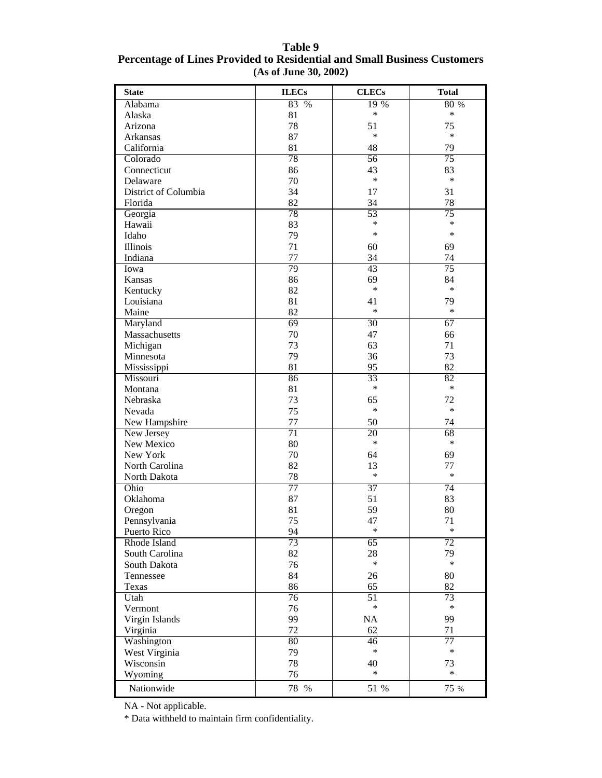| <b>State</b>         | <b>ILECs</b>    | <b>CLECs</b>    | <b>Total</b> |
|----------------------|-----------------|-----------------|--------------|
| Alabama              | 83 %            | 19 %            | 80 %         |
| Alaska               | 81              | *               | *            |
| Arizona              | 78              | 51              | 75           |
| Arkansas             | 87              | $\ast$          | $\ast$       |
| California           | 81              | 48              | 79           |
| Colorado             | 78              | 56              | 75           |
| Connecticut          | 86              | 43              | 83           |
| Delaware             | 70              | *               | $\ast$       |
| District of Columbia | 34              | 17              | 31           |
| Florida              | 82              | 34              | 78           |
| Georgia              | 78              | 53              | 75           |
| Hawaii               | 83              | *               | *            |
| Idaho                | 79              | $\ast$          | $\ast$       |
| Illinois             | 71              | 60              | 69           |
| Indiana              | 77              | 34              | 74           |
| Iowa                 | 79              | 43              | 75           |
| Kansas               | 86              | 69              | 84           |
| Kentucky             | 82              | $\ast$          | $\ast$       |
| Louisiana            | 81              | 41              | 79           |
| Maine                | 82              | $\ast$          | $\ast$       |
| Maryland             | 69              | 30              | 67           |
| Massachusetts        | 70              | 47              | 66           |
| Michigan             | 73              | 63              | 71           |
| Minnesota            | 79              | 36              | 73           |
| Mississippi          | 81              | 95              | 82           |
| Missouri             | 86              | 33              | 82           |
| Montana              | 81              | $\ast$          | $\ast$       |
| Nebraska             | 73              | 65              | 72           |
| Nevada               | 75              | $\ast$          | $\ast$       |
| New Hampshire        | 77              | 50              | 74           |
| New Jersey           | $\overline{71}$ | 20              | 68           |
| New Mexico           | 80              | *               | $\ast$       |
| New York             | 70              | 64              | 69           |
| North Carolina       | 82              | 13              | 77           |
| North Dakota         | 78              | $\ast$          | $\ast$       |
| Ohio                 | 77              | 37              | 74           |
| Oklahoma             | 87              | 51              | 83           |
| Oregon               | 81              | 59              | 80           |
| Pennsylvania         | 75              | 47              | 71           |
| Puerto Rico          | 94              | $\ast$          | $\ast$       |
| Rhode Island         | 73              | $\overline{65}$ | 72           |
| South Carolina       | 82              | 28              | 79           |
| South Dakota         | 76              | *               | $\ast$       |
| Tennessee            | 84              | 26              | 80           |
| Texas                | 86              | 65              | 82           |
| Utah                 | $\overline{76}$ | $\overline{51}$ | 73           |
| Vermont              | 76              | *               | $\ast$       |
| Virgin Islands       | 99              | NA              | 99           |
| Virginia             | 72              | 62              | 71           |
| Washington           | 80              | 46              | 77           |
| West Virginia        | 79              | *               | $\ast$       |
| Wisconsin            | 78              | 40              | 73           |
| Wyoming              | 76              | $\ast$          | $\ast$       |
| Nationwide           | 78 %            | 51 %            | 75 %         |

#### **Table 9 Percentage of Lines Provided to Residential and Small Business Customers (As of June 30, 2002)**

NA - Not applicable.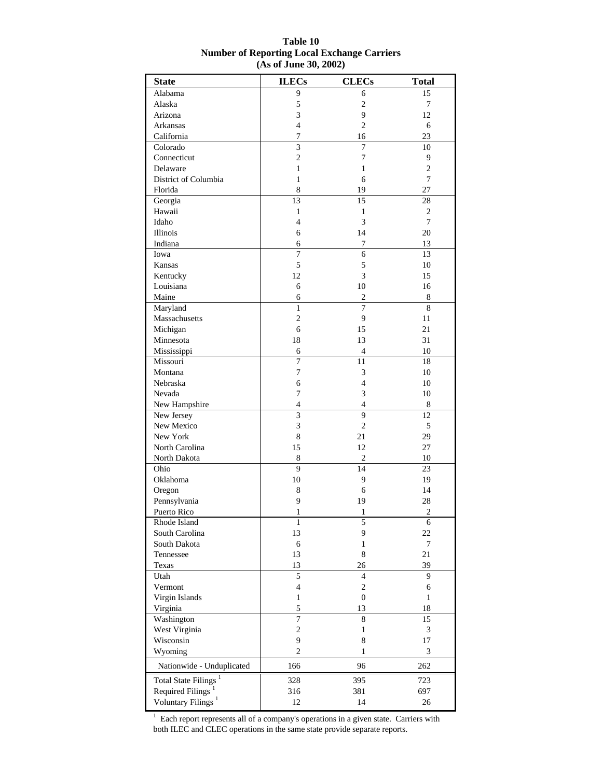| <b>State</b>                     | <b>ILECs</b>                            | <b>CLECs</b>                         | <b>Total</b>      |
|----------------------------------|-----------------------------------------|--------------------------------------|-------------------|
| Alabama                          | 9                                       | 6                                    | 15                |
| Alaska                           | 5                                       | $\overline{c}$                       | 7                 |
| Arizona                          | 3                                       | 9                                    | 12                |
| Arkansas                         | 4                                       | 2                                    | 6                 |
| California                       | $\tau$                                  | 16                                   | 23                |
| Colorado                         | 3                                       | $\overline{7}$                       | 10                |
| Connecticut                      | $\overline{c}$                          | $\boldsymbol{7}$                     | 9                 |
| Delaware                         | $\mathbf{1}$                            | 1                                    | $\mathbf{2}$      |
| District of Columbia             | $\mathbf{1}$                            | 6                                    | $\overline{7}$    |
| Florida                          | 8                                       | 19                                   | 27                |
| Georgia                          | 13                                      | 15                                   | 28                |
| Hawaii                           | $\mathbf{1}$                            | $\mathbf{1}$                         | $\mathbf{2}$      |
| Idaho                            | 4                                       | 3                                    | $\overline{7}$    |
| Illinois                         | 6                                       | 14                                   | 20                |
| Indiana                          | 6                                       | 7                                    | 13                |
| Iowa                             | 7                                       | 6                                    | 13                |
| Kansas                           | 5                                       | 5                                    | 10                |
| Kentucky                         | 12                                      | 3                                    | 15                |
| Louisiana                        | 6                                       | 10                                   | 16                |
| Maine                            | 6                                       | $\mathfrak{2}$                       | 8                 |
| Maryland                         | 1                                       | $\overline{7}$                       | 8                 |
| Massachusetts                    | $\overline{2}$                          | 9                                    | 11                |
| Michigan                         | 6                                       | 15                                   | 21                |
| Minnesota                        | 18                                      | 13                                   | 31                |
| Mississippi                      | 6                                       | 4                                    | 10                |
| Missouri                         | 7                                       | 11                                   | 18                |
| Montana                          | 7                                       | 3                                    | 10                |
| Nebraska                         | 6                                       | $\overline{4}$                       | 10                |
| Nevada                           | 7                                       | 3                                    | 10                |
| New Hampshire                    | 4                                       | 4                                    | 8                 |
| New Jersey                       | 3                                       | 9                                    | 12                |
| New Mexico                       | 3                                       | $\mathfrak{2}$                       | 5                 |
| New York                         | 8                                       | 21                                   | 29                |
| North Carolina                   | 15                                      | 12                                   | 27                |
| North Dakota                     | 8                                       | $\overline{c}$                       | 10                |
| Ohio                             | 9                                       | 14                                   | 23                |
| Oklahoma                         | 10                                      | 9                                    | 19                |
| Oregon                           | 8                                       | 6                                    | 14                |
| Pennsylvania                     | 9                                       | 19                                   | 28                |
| Puerto Rico                      | $\mathbf{1}$                            | 1                                    | $\overline{2}$    |
| Rhode Island                     | $\mathbf{1}$                            | 5                                    | 6                 |
| South Carolina                   | 13                                      | 9                                    | 22                |
| South Dakota                     | 6                                       | 1                                    | $\tau$            |
| Tennessee                        | 13                                      | 8                                    | 21                |
| Texas                            | 13                                      | 26                                   | 39<br>9           |
| Utah                             | 5                                       | $\overline{4}$                       |                   |
| Vermont                          | $\overline{\mathbf{4}}$<br>$\mathbf{1}$ | $\boldsymbol{2}$<br>$\boldsymbol{0}$ | 6<br>$\mathbf{1}$ |
| Virgin Islands                   | 5                                       |                                      |                   |
| Virginia<br>Washington           | 7                                       | 13<br>8                              | 18<br>15          |
| West Virginia                    | $\overline{c}$                          | $\mathbf{1}$                         | 3                 |
| Wisconsin                        | 9                                       |                                      |                   |
| Wyoming                          | $\overline{c}$                          | 8<br>1                               | 17<br>3           |
|                                  |                                         |                                      |                   |
| Nationwide - Unduplicated        | 166                                     | 96                                   | 262               |
| Total State Filings <sup>1</sup> | 328                                     | 395                                  | 723               |
| Required Filings <sup>1</sup>    | 316                                     | 381                                  | 697               |
| Voluntary Filings <sup>1</sup>   | 12                                      | 14                                   | 26                |

#### **Table 10 Number of Reporting Local Exchange Carriers (As of June 30, 2002)**

 $<sup>1</sup>$  Each report represents all of a company's operations in a given state. Carriers with</sup> both ILEC and CLEC operations in the same state provide separate reports.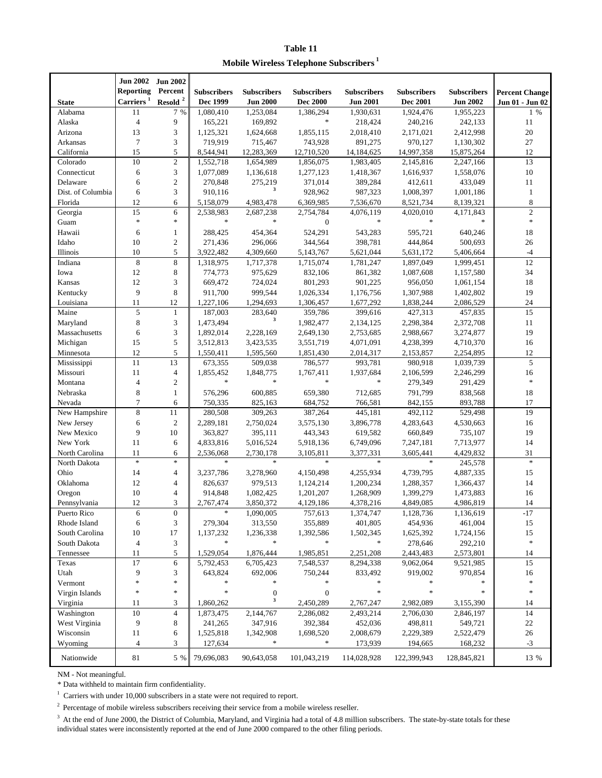**Table 11 Mobile Wireless Telephone Subscribers<sup>1</sup>**

|                              | <b>Jun 2002</b>           | <b>Jun 2002</b>   |                      |                      |                      |                      |                        |                      |                       |
|------------------------------|---------------------------|-------------------|----------------------|----------------------|----------------------|----------------------|------------------------|----------------------|-----------------------|
|                              | <b>Reporting</b>          | Percent           | <b>Subscribers</b>   | <b>Subscribers</b>   | <b>Subscribers</b>   | <b>Subscribers</b>   | <b>Subscribers</b>     | <b>Subscribers</b>   | <b>Percent Change</b> |
| <b>State</b>                 | $\mbox{{\sc Carriers}}^1$ | Resold $^{\rm 2}$ | Dec 1999             | <b>Jun 2000</b>      | <b>Dec 2000</b>      | <b>Jun 2001</b>      | <b>Dec 2001</b>        | <b>Jun 2002</b>      | Jun 01 - Jun 02       |
| Alabama                      | 11                        | 7 %               | 1,080,410            | 1,253,084            | 1,386,294            | 1,930,631            | 1,924,476              | 1,955,223            | $1\%$                 |
| Alaska                       | $\overline{4}$            | 9                 | 165,221              | 169,892              | $\ast$               | 218,424              | 240,216                | 242,133              | 11                    |
| Arizona                      | 13                        | 3                 | 1,125,321            | 1,624,668            | 1,855,115            | 2,018,410            | 2,171,021              | 2,412,998            | 20                    |
| <b>Arkansas</b>              | $\tau$                    | 3                 | 719,919              | 715,467              | 743,928              | 891,275              | 970,127                | 1,130,302            | 27                    |
| California                   | 15                        | 5                 | 8,544,941            | 12,283,369           | 12,710,520           | 14, 184, 625         | 14,997,358             | 15,875,264           | 12                    |
| Colorado                     | 10                        | $\sqrt{2}$        | 1,552,718            | 1,654,989            | 1,856,075            | 1,983,405            | 2,145,816              | 2,247,166            | 13                    |
| Connecticut                  | 6                         | 3                 | 1,077,089            | 1,136,618            | 1,277,123            | 1,418,367            | 1,616,937              | 1,558,076            | $10\,$                |
| Delaware                     | 6                         | $\boldsymbol{2}$  | 270,848              | 275,219<br>3         | 371,014              | 389,284              | 412,611                | 433,049<br>1,001,186 | 11                    |
| Dist. of Columbia<br>Florida | 6<br>12                   | 3<br>6            | 910,116<br>5,158,079 | 4,983,478            | 928,962<br>6,369,985 | 987,323<br>7,536,670 | 1,008,397<br>8,521,734 | 8,139,321            | $\mathbf{1}$<br>8     |
| Georgia                      | 15                        | 6                 | 2,538,983            | 2,687,238            | 2,754,784            | 4,076,119            | 4,020,010              | 4,171,843            | $\overline{c}$        |
| Guam                         | $\ast$                    | $\ast$            | $\ast$               | $\ast$               | $\boldsymbol{0}$     | $\ast$               | $\ast$                 | $\ast$               | $\ast$                |
| Hawaii                       | 6                         | $\mathbf{1}$      | 288,425              | 454,364              | 524,291              | 543,283              | 595,721                | 640,246              | 18                    |
| Idaho                        | 10                        | $\overline{2}$    | 271,436              | 296,066              | 344,564              | 398,781              | 444,864                | 500,693              | 26                    |
| Illinois                     | 10                        | 5                 | 3,922,482            | 4,309,660            | 5,143,767            | 5,621,044            | 5,631,172              | 5,406,664            | $-4$                  |
| Indiana                      | $\,$ 8 $\,$               | $\,$ 8 $\,$       | 1,318,975            | 1,717,378            | 1,715,074            | 1,781,247            | 1,897,049              | 1,999,451            | $12\,$                |
| Iowa                         | 12                        | 8                 | 774,773              | 975,629              | 832,106              | 861,382              | 1,087,608              | 1,157,580            | 34                    |
| Kansas                       | 12                        | 3                 | 669,472              | 724,024              | 801,293              | 901,225              | 956,050                | 1,061,154            | 18                    |
| Kentucky                     | 9                         | 8                 | 911,700              | 999,544              | 1,026,334            | 1,176,756            | 1,307,988              | 1,402,802            | 19                    |
| Louisiana                    | 11                        | 12                | 1,227,106            | 1,294,693            | 1,306,457            | 1,677,292            | 1,838,244              | 2,086,529            | 24                    |
| Maine                        | 5                         | $\mathbf{1}$      | 187,003              | 283,640              | 359,786              | 399,616              | 427,313                | 457,835              | 15                    |
| Maryland                     | 8                         | 3                 | 1,473,494            | 3                    | 1,982,477            | 2,134,125            | 2,298,384              | 2,372,708            | 11                    |
| Massachusetts                | 6                         | 3                 | 1,892,014            | 2,228,169            | 2,649,130            | 2,753,685            | 2,988,667              | 3,274,877            | 19                    |
| Michigan                     | 15                        | 5                 | 3,512,813            | 3,423,535            | 3,551,719            | 4,071,091            | 4,238,399              | 4,710,370            | 16                    |
| Minnesota                    | 12                        | 5                 | 1,550,411            | 1,595,560            | 1,851,430            | 2,014,317            | 2,153,857              | 2,254,895            | 12                    |
| Mississippi                  | 11                        | 13                | 673,355              | 509,038              | 786,577              | 993,781              | 980,918                | 1,039,739            | 5                     |
| Missouri                     | 11                        | $\overline{4}$    | 1,855,452            | 1,848,775            | 1,767,411            | 1,937,684            | 2,106,599              | 2,246,299            | 16                    |
| Montana                      | $\overline{4}$            | $\boldsymbol{2}$  | $\ast$               | $\ast$               | $\ast$               | $\ast$               | 279,349                | 291,429              | $\ast$                |
| Nebraska                     | 8                         | $\mathbf{1}$      | 576,296              | 600,885              | 659,380              | 712,685              | 791,799                | 838,568              | 18                    |
| Nevada                       | $\tau$                    | 6                 | 750,335              | 825,163              | 684,752              | 766,581              | 842,155                | 893,788              | 17                    |
| New Hampshire                | $\,$ 8 $\,$               | $11\,$            | 280,508              | 309,263              | 387,264              | 445,181              | 492,112                | 529,498              | 19                    |
| New Jersey                   | 6<br>9                    | $\overline{2}$    | 2,289,181            | 2,750,024            | 3,575,130            | 3,896,778            | 4,283,643              | 4,530,663            | 16                    |
| New Mexico<br>New York       | 11                        | 10<br>6           | 363,827<br>4,833,816 | 395,111<br>5,016,524 | 443,343<br>5,918,136 | 619,582<br>6,749,096 | 660,849<br>7,247,181   | 735,107<br>7,713,977 | 19<br>14              |
| North Carolina               | 11                        | 6                 | 2,536,068            | 2,730,178            | 3,105,811            | 3,377,331            | 3,605,441              | 4,429,832            | 31                    |
| North Dakota                 | $\ast$                    | $\ast$            | $\ast$               | $\ast$               | $\ast$               | $\ast$               | $\ast$                 | 245,578              | $\ast$                |
| Ohio                         | 14                        | 4                 | 3,237,786            | 3,278,960            | 4,150,498            | 4,255,934            | 4,739,795              | 4,887,335            | 15                    |
| Oklahoma                     | 12                        | $\overline{4}$    | 826,637              | 979,513              | 1,124,214            | 1,200,234            | 1,288,357              | 1,366,437            | 14                    |
| Oregon                       | 10                        | $\overline{4}$    | 914,848              | 1,082,425            | 1,201,207            | 1,268,909            | 1,399,279              | 1,473,883            | 16                    |
| Pennsylvania                 | 12                        | 3                 | 2,767,474            | 3,850,372            | 4,129,186            | 4,378,216            | 4,849,085              | 4,986,819            | 14                    |
| Puerto Rico                  | $\epsilon$                | $\boldsymbol{0}$  |                      | 1,090,005            | 757,613              | 1,374,747            | 1,128,736              | 1,136,619            | $-17$                 |
| Rhode Island                 | 6                         | 3                 | 279,304              | 313,550              | 355,889              | 401,805              | 454,936                | 461,004              | 15                    |
| South Carolina               | 10                        | 17                | 1,137,232            | 1,236,338            | 1,392,586            | 1,502,345            | 1,625,392              | 1,724,156            | 15                    |
| South Dakota                 | $\overline{\mathcal{A}}$  | 3                 | $\ast$               | $\ast$               | $\ast$               | $\ast$               | 278,646                | 292,210              | $\ast$                |
| Tennessee                    | 11                        | 5                 | 1,529,054            | 1,876,444            | 1,985,851            | 2,251,208            | 2,443,483              | 2,573,801            | 14                    |
| Texas                        | 17                        | $\sqrt{6}$        | 5,792,453            | 6,705,423            | 7,548,537            | 8,294,338            | 9,062,064              | 9,521,985            | 15                    |
| Utah                         | 9                         | 3                 | 643,824              | 692,006              | 750,244              | 833,492              | 919,002                | 970,854              | 16                    |
| Vermont                      | ×                         | $\ast$            | $\ast$               | *                    | *                    | $\ast$               | $\ast$                 |                      |                       |
| Virgin Islands               | *                         | $\ast$            | *                    | $\boldsymbol{0}$     | $\boldsymbol{0}$     | $\ast$               | $\ast$                 | $\ast$               | $\ast$                |
| Virginia                     | 11                        | 3                 | 1,860,262            | $\mathbf 3$          | 2,450,289            | 2,767,247            | 2,982,089              | 3,155,390            | 14                    |
| Washington                   | 10                        | $\overline{4}$    | 1,873,475            | 2,144,767            | 2,286,082            | 2,493,214            | 2,706,030              | 2,846,197            | 14                    |
| West Virginia                | 9                         | $\,8\,$           | 241,265              | 347,916              | 392,384              | 452,036              | 498,811                | 549,721              | $22\,$                |
| Wisconsin                    | 11                        | 6                 | 1,525,818            | 1,342,908            | 1,698,520            | 2,008,679            | 2,229,389              | 2,522,479            | 26                    |
| Wyoming                      | $\overline{4}$            | 3                 | 127,634              | *                    | *                    | 173,939              | 194,665                | 168,232              | $-3$                  |
| Nationwide                   | 81                        | 5 %               | 79,696,083           | 90,643,058           | 101,043,219          | 114,028,928          | 122,399,943            | 128,845,821          | 13 %                  |

NM - Not meaningful.

\* Data withheld to maintain firm confidentiality.

 $1$  Carriers with under 10,000 subscribers in a state were not required to report.

 $2$  Percentage of mobile wireless subscribers receiving their service from a mobile wireless reseller.

<sup>3</sup> At the end of June 2000, the District of Columbia, Maryland, and Virginia had a total of 4.8 million subscribers. The state-by-state totals for these individual states were inconsistently reported at the end of June 2000 compared to the other filing periods.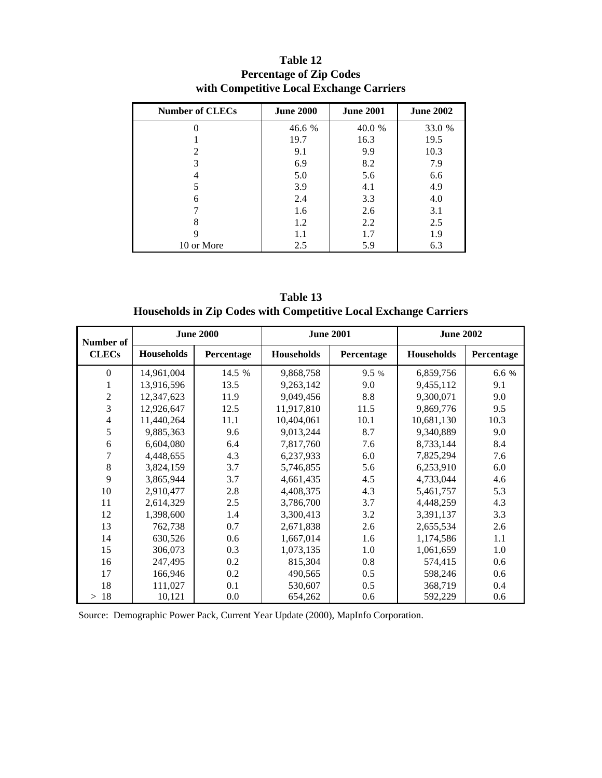| <b>Number of CLECs</b>      | <b>June 2000</b> | <b>June 2001</b> | <b>June 2002</b> |
|-----------------------------|------------------|------------------|------------------|
|                             | 46.6 %           | 40.0 %           | 33.0 %           |
|                             | 19.7             | 16.3             | 19.5             |
| $\mathcal{D}_{\mathcal{A}}$ | 9.1              | 9.9              | 10.3             |
| 3                           | 6.9              | 8.2              | 7.9              |
|                             | 5.0              | 5.6              | 6.6              |
|                             | 3.9              | 4.1              | 4.9              |
| 6                           | 2.4              | 3.3              | 4.0              |
|                             | 1.6              | 2.6              | 3.1              |
| 8                           | 1.2              | 2.2              | 2.5              |
| Q                           | 1.1              | 1.7              | 1.9              |
| 10 or More                  | 2.5              | 5.9              | 6.3              |

**Table 12 Percentage of Zip Codes with Competitive Local Exchange Carriers**

| Table 13                                                         |
|------------------------------------------------------------------|
| Households in Zip Codes with Competitive Local Exchange Carriers |

| Number of      | <b>June 2000</b>  |            |                   | <b>June 2001</b> | <b>June 2002</b> |            |  |
|----------------|-------------------|------------|-------------------|------------------|------------------|------------|--|
| <b>CLECs</b>   | <b>Households</b> | Percentage | <b>Households</b> | Percentage       | Households       | Percentage |  |
| $\Omega$       | 14,961,004        | 14.5 %     | 9,868,758         | 9.5 %            | 6,859,756        | 6.6 %      |  |
| 1              | 13,916,596        | 13.5       | 9,263,142         | 9.0              | 9,455,112        | 9.1        |  |
| $\overline{c}$ | 12,347,623        | 11.9       | 9,049,456         | 8.8              | 9,300,071        | 9.0        |  |
| 3              | 12,926,647        | 12.5       | 11,917,810        | 11.5             | 9,869,776        | 9.5        |  |
| $\overline{4}$ | 11,440,264        | 11.1       | 10,404,061        | 10.1             | 10,681,130       | 10.3       |  |
| 5              | 9,885,363         | 9.6        | 9,013,244         | 8.7              | 9,340,889        | 9.0        |  |
| 6              | 6,604,080         | 6.4        | 7,817,760         | 7.6              | 8,733,144        | 8.4        |  |
| 7              | 4,448,655         | 4.3        | 6,237,933         | 6.0              | 7,825,294        | 7.6        |  |
| 8              | 3,824,159         | 3.7        | 5,746,855         | 5.6              | 6,253,910        | 6.0        |  |
| 9              | 3,865,944         | 3.7        | 4,661,435         | 4.5              | 4,733,044        | 4.6        |  |
| 10             | 2,910,477         | 2.8        | 4,408,375         | 4.3              | 5,461,757        | 5.3        |  |
| 11             | 2,614,329         | 2.5        | 3,786,700         | 3.7              | 4,448,259        | 4.3        |  |
| 12             | 1,398,600         | 1.4        | 3,300,413         | 3.2              | 3,391,137        | 3.3        |  |
| 13             | 762,738           | 0.7        | 2,671,838         | 2.6              | 2,655,534        | 2.6        |  |
| 14             | 630,526           | 0.6        | 1,667,014         | 1.6              | 1,174,586        | 1.1        |  |
| 15             | 306,073           | 0.3        | 1,073,135         | 1.0              | 1,061,659        | 1.0        |  |
| 16             | 247,495           | 0.2        | 815,304           | 0.8              | 574,415          | 0.6        |  |
| 17             | 166,946           | 0.2        | 490,565           | 0.5              | 598,246          | 0.6        |  |
| 18             | 111,027           | 0.1        | 530,607           | 0.5              | 368,719          | 0.4        |  |
| 18<br>$\rm{>}$ | 10,121            | 0.0        | 654,262           | 0.6              | 592,229          | 0.6        |  |

Source: Demographic Power Pack, Current Year Update (2000), MapInfo Corporation.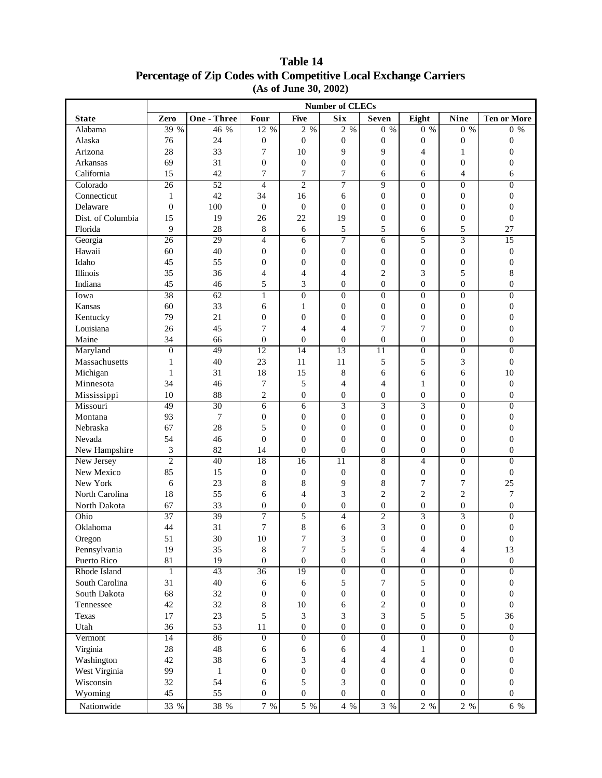|                   | <b>Number of CLECs</b> |                    |                  |                  |                  |                  |                  |                  |                    |
|-------------------|------------------------|--------------------|------------------|------------------|------------------|------------------|------------------|------------------|--------------------|
| <b>State</b>      | Zero                   | <b>One - Three</b> | Four             | <b>Five</b>      | Six              | <b>Seven</b>     | Eight            | <b>Nine</b>      | <b>Ten or More</b> |
| Alabama           | 39 %                   | 46 %               | 12 %             | 2 %              | $2\sqrt{96}$     | $0\%$            | $0\%$            | $0\%$            | $0\%$              |
| Alaska            | 76                     | 24                 | $\boldsymbol{0}$ | $\boldsymbol{0}$ | $\boldsymbol{0}$ | $\boldsymbol{0}$ | $\boldsymbol{0}$ | $\boldsymbol{0}$ | 0                  |
| Arizona           | 28                     | 33                 | 7                | 10               | 9                | 9                | $\overline{4}$   | $\mathbf{1}$     | $\boldsymbol{0}$   |
| Arkansas          | 69                     | 31                 | $\overline{0}$   | $\boldsymbol{0}$ | $\boldsymbol{0}$ | $\boldsymbol{0}$ | $\mathbf{0}$     | $\boldsymbol{0}$ | $\overline{0}$     |
| California        | 15                     | 42                 | 7                | 7                | 7                | 6                | 6                | $\overline{4}$   | 6                  |
| Colorado          | 26                     | 52                 | $\overline{4}$   | $\overline{2}$   | 7                | 9                | $\overline{0}$   | $\overline{0}$   | $\theta$           |
| Connecticut       | $\mathbf{1}$           | 42                 | 34               | 16               | 6                | $\boldsymbol{0}$ | $\boldsymbol{0}$ | $\boldsymbol{0}$ | $\boldsymbol{0}$   |
| Delaware          | $\theta$               | 100                | $\overline{0}$   | $\mathbf{0}$     | $\boldsymbol{0}$ | $\overline{0}$   | $\mathbf{0}$     | $\mathbf{0}$     | $\overline{0}$     |
| Dist. of Columbia | 15                     | 19                 | 26               | 22               | 19               | $\boldsymbol{0}$ | $\mathbf{0}$     | $\mathbf{0}$     | $\boldsymbol{0}$   |
| Florida           | 9                      | 28                 | $\,8\,$          | 6                | 5                | 5                | 6                | 5                | 27                 |
| Georgia           | 26                     | 29                 | $\overline{4}$   | 6                | 7                | 6                | 5                | 3                | 15                 |
| Hawaii            | 60                     | 40                 | $\mathbf{0}$     | $\boldsymbol{0}$ | $\boldsymbol{0}$ | $\boldsymbol{0}$ | $\mathbf{0}$     | $\boldsymbol{0}$ | $\boldsymbol{0}$   |
| Idaho             | 45                     | 55                 | $\theta$         | $\boldsymbol{0}$ | $\boldsymbol{0}$ | $\boldsymbol{0}$ | $\boldsymbol{0}$ | $\boldsymbol{0}$ | $\overline{0}$     |
| <b>Illinois</b>   | 35                     | 36                 | 4                | $\overline{4}$   | 4                | $\overline{c}$   | 3                | 5                | 8                  |
| Indiana           | 45                     | 46                 | 5                | 3                | $\boldsymbol{0}$ | $\boldsymbol{0}$ | $\mathbf{0}$     | $\boldsymbol{0}$ | $\overline{0}$     |
| Iowa              | 38                     | 62                 | $\mathbf{1}$     | $\boldsymbol{0}$ | $\boldsymbol{0}$ | $\overline{0}$   | $\mathbf{0}$     | $\mathbf{0}$     | $\theta$           |
| Kansas            | 60                     | 33                 | $6\,$            | $\mathbf{1}$     | $\boldsymbol{0}$ | $\boldsymbol{0}$ | $\boldsymbol{0}$ | $\mathbf{0}$     | 0                  |
| Kentucky          | 79                     | 21                 | $\boldsymbol{0}$ | $\boldsymbol{0}$ | $\boldsymbol{0}$ | $\boldsymbol{0}$ | $\boldsymbol{0}$ | $\boldsymbol{0}$ | $\boldsymbol{0}$   |
| Louisiana         | 26                     | 45                 | 7                | $\overline{4}$   | $\overline{4}$   | 7                | $\overline{7}$   | $\boldsymbol{0}$ | $\boldsymbol{0}$   |
| Maine             | 34                     | 66                 | $\boldsymbol{0}$ | $\boldsymbol{0}$ | $\boldsymbol{0}$ | $\boldsymbol{0}$ | $\boldsymbol{0}$ | $\boldsymbol{0}$ | $\overline{0}$     |
| Maryland          | $\theta$               | 49                 | $\overline{12}$  | 14               | 13               | 11               | $\mathbf{0}$     | $\boldsymbol{0}$ | $\overline{0}$     |
| Massachusetts     | 1                      | 40                 | 23               | 11               | 11               | 5                | 5                | 3                | $\boldsymbol{0}$   |
| Michigan          | $\mathbf{1}$           | 31                 | 18               | 15               | 8                | 6                | 6                | 6                | 10                 |
| Minnesota         | 34                     | 46                 | 7                | 5                | 4                | 4                | 1                | $\boldsymbol{0}$ | $\overline{0}$     |
| Mississippi       | 10                     | 88                 | $\overline{2}$   | $\boldsymbol{0}$ | $\boldsymbol{0}$ | $\boldsymbol{0}$ | $\boldsymbol{0}$ | $\mathbf{0}$     | $\boldsymbol{0}$   |
| Missouri          | 49                     | 30                 | $\overline{6}$   | 6                | $\overline{3}$   | $\overline{3}$   | $\overline{3}$   | $\overline{0}$   | $\overline{0}$     |
| Montana           | 93                     | $\boldsymbol{7}$   | $\boldsymbol{0}$ | $\boldsymbol{0}$ | $\boldsymbol{0}$ | $\boldsymbol{0}$ | $\boldsymbol{0}$ | $\boldsymbol{0}$ | $\boldsymbol{0}$   |
| Nebraska          | 67                     | 28                 | 5                | $\boldsymbol{0}$ | $\boldsymbol{0}$ | $\boldsymbol{0}$ | $\overline{0}$   | $\boldsymbol{0}$ | $\overline{0}$     |
| Nevada            | 54                     | 46                 | $\overline{0}$   | $\boldsymbol{0}$ | $\overline{0}$   | $\overline{0}$   | $\overline{0}$   | $\overline{0}$   | $\overline{0}$     |
| New Hampshire     | $\mathfrak{Z}$         | 82                 | 14               | $\boldsymbol{0}$ | $\boldsymbol{0}$ | $\boldsymbol{0}$ | $\boldsymbol{0}$ | $\boldsymbol{0}$ | $\boldsymbol{0}$   |
| New Jersey        | $\mathbf{2}$           | 40                 | 18               | 16               | $\overline{11}$  | 8                | $\overline{4}$   | $\boldsymbol{0}$ | $\overline{0}$     |
| New Mexico        | 85                     | 15                 | $\mathbf{0}$     | $\mathbf{0}$     | $\boldsymbol{0}$ | $\boldsymbol{0}$ | $\boldsymbol{0}$ | $\mathbf{0}$     | $\boldsymbol{0}$   |
| New York          | 6                      | 23                 | $\,8\,$          | 8                | 9                | 8                | $\boldsymbol{7}$ | $\boldsymbol{7}$ | 25                 |
| North Carolina    | 18                     | 55                 | 6                | 4                | 3                | $\overline{c}$   | $\overline{c}$   | $\overline{c}$   | 7                  |
| North Dakota      | 67                     | 33                 | $\boldsymbol{0}$ | $\boldsymbol{0}$ | $\boldsymbol{0}$ | $\boldsymbol{0}$ | $\boldsymbol{0}$ | $\boldsymbol{0}$ | $\boldsymbol{0}$   |
| Ohio              | 37                     | 39                 | 7                | 5                | $\overline{4}$   | $\overline{2}$   | $\overline{3}$   | $\overline{3}$   | $\overline{0}$     |
| Oklahoma          | 44                     | 31                 | $\overline{7}$   | 8                | 6                | 3                | $\overline{0}$   | $\boldsymbol{0}$ | $\boldsymbol{0}$   |
| Oregon            | 51                     | 30                 | 10               | 7                | 3                | $\boldsymbol{0}$ | $\mathbf{0}$     | $\boldsymbol{0}$ | $\mathbf{0}$       |
| Pennsylvania      | 19                     | 35                 | $\,8\,$          | 7                | 5                | 5                | $\overline{4}$   | $\overline{4}$   | 13                 |
| Puerto Rico       | 81                     | 19                 | $\mathbf{0}$     | $\boldsymbol{0}$ | $\boldsymbol{0}$ | $\boldsymbol{0}$ | $\overline{0}$   | $\boldsymbol{0}$ | $\boldsymbol{0}$   |
| Rhode Island      | $\mathbf{1}$           | 43                 | 36               | 19               | $\overline{0}$   | $\boldsymbol{0}$ | $\boldsymbol{0}$ | $\mathbf{0}$     | 0                  |
| South Carolina    | 31                     | 40                 | 6                | 6                | $\sqrt{5}$       | 7                | 5                | $\boldsymbol{0}$ | 0                  |
| South Dakota      | 68                     | 32                 | $\boldsymbol{0}$ | $\boldsymbol{0}$ | $\boldsymbol{0}$ | $\boldsymbol{0}$ | $\boldsymbol{0}$ | $\boldsymbol{0}$ | 0                  |
| Tennessee         | 42                     | 32                 | 8                | $10\,$           | $\sqrt{6}$       | 2                | $\boldsymbol{0}$ | $\boldsymbol{0}$ | $\boldsymbol{0}$   |
| <b>Texas</b>      | 17                     | 23                 | 5                | 3                | 3                | 3                | 5                | 5                | 36                 |
| Utah              | 36                     | 53                 | 11               | $\boldsymbol{0}$ | $\boldsymbol{0}$ | $\boldsymbol{0}$ | $\boldsymbol{0}$ | $\boldsymbol{0}$ | $\boldsymbol{0}$   |
| Vermont           | 14                     | 86                 | $\boldsymbol{0}$ | $\boldsymbol{0}$ | $\overline{0}$   | $\boldsymbol{0}$ | $\mathbf{0}$     | $\boldsymbol{0}$ | $\overline{0}$     |
| Virginia          | 28                     | 48                 | 6                | 6                | 6                | $\overline{4}$   | 1                | $\mathbf{0}$     | 0                  |
| Washington        | 42                     | 38                 | 6                | 3                | $\overline{4}$   | $\overline{4}$   | $\overline{4}$   | $\mathbf{0}$     | $\mathbf{0}$       |
| West Virginia     | 99                     | $\mathbf{1}$       | $\boldsymbol{0}$ | $\boldsymbol{0}$ | $\boldsymbol{0}$ | $\boldsymbol{0}$ | $\mathbf{0}$     | $\boldsymbol{0}$ | $\mathbf{0}$       |
| Wisconsin         | 32                     | 54                 | 6                | 5                | $\mathfrak{Z}$   | $\boldsymbol{0}$ | $\boldsymbol{0}$ | $\boldsymbol{0}$ | $\mathbf{0}$       |
| Wyoming           | 45                     | 55                 | $\boldsymbol{0}$ | $\boldsymbol{0}$ | $\boldsymbol{0}$ | $\boldsymbol{0}$ | $\mathbf{0}$     | $\boldsymbol{0}$ | $\boldsymbol{0}$   |

Nationwide 33 % 38 % 7 % 5 % 4 % 3 % 2 % 2 % 6 %

### **Table 14 Percentage of Zip Codes with Competitive Local Exchange Carriers (As of June 30, 2002)**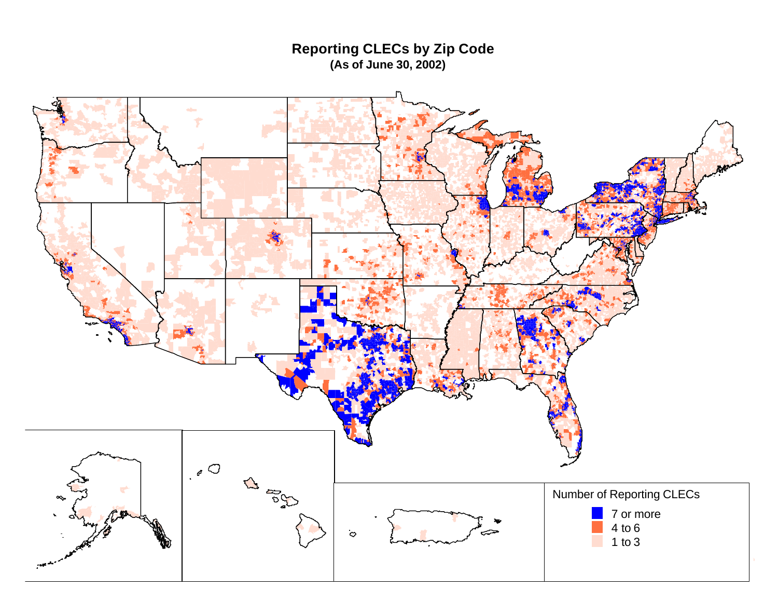**Reporting CLECs by Zip Code (As of June 30, 2002)**